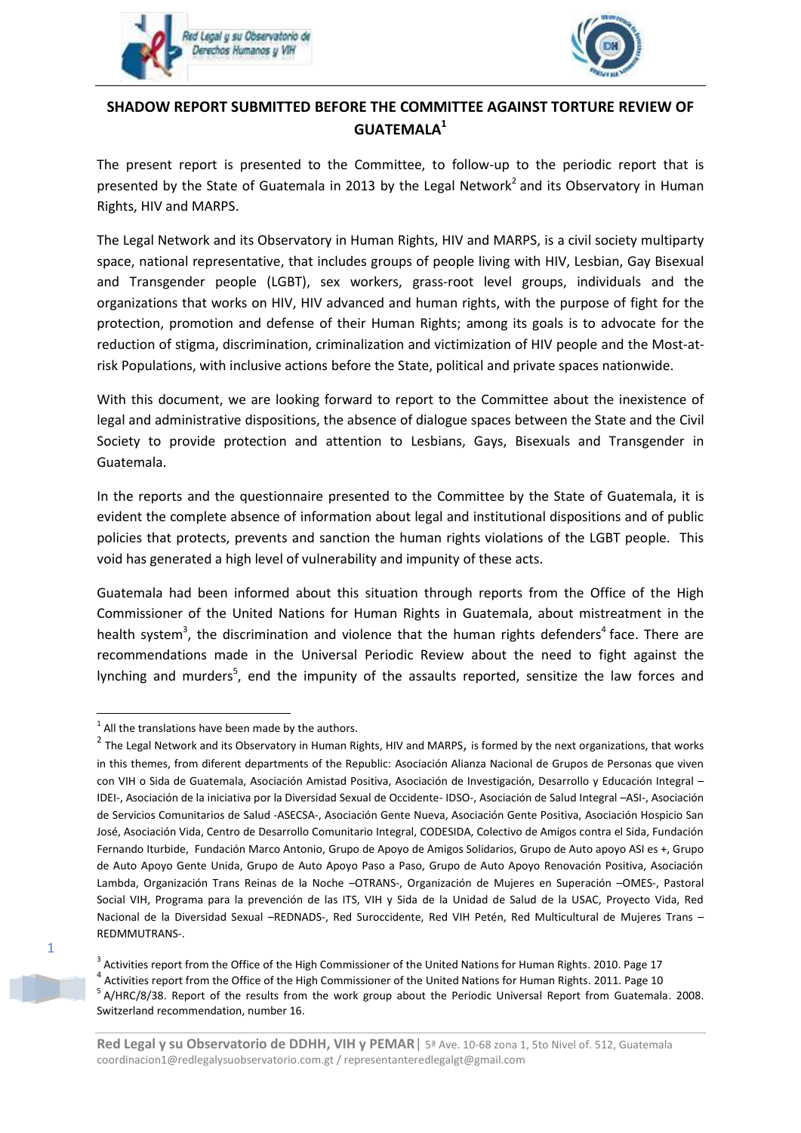



# **SHADOW REPORT SUBMITTED BEFORE THE COMMITTEE AGAINST TORTURE REVIEW OF GUATEMALA<sup>1</sup>**

The present report is presented to the Committee, to follow-up to the periodic report that is presented by the State of Guatemala in 2013 by the Legal Network<sup>2</sup> and its Observatory in Human Rights, HIV and MARPS.

The Legal Network and its Observatory in Human Rights, HIV and MARPS, is a civil society multiparty space, national representative, that includes groups of people living with HIV, Lesbian, Gay Bisexual and Transgender people (LGBT), sex workers, grass-root level groups, individuals and the organizations that works on HIV, HIV advanced and human rights, with the purpose of fight for the protection, promotion and defense of their Human Rights; among its goals is to advocate for the reduction of stigma, discrimination, criminalization and victimization of HIV people and the Most-atrisk Populations, with inclusive actions before the State, political and private spaces nationwide.

With this document, we are looking forward to report to the Committee about the inexistence of legal and administrative dispositions, the absence of dialogue spaces between the State and the Civil Society to provide protection and attention to Lesbians, Gays, Bisexuals and Transgender in Guatemala.

In the reports and the questionnaire presented to the Committee by the State of Guatemala, it is evident the complete absence of information about legal and institutional dispositions and of public policies that protects, prevents and sanction the human rights violations of the LGBT people. This void has generated a high level of vulnerability and impunity of these acts.

Guatemala had been informed about this situation through reports from the Office of the High Commissioner of the United Nations for Human Rights in Guatemala, about mistreatment in the health system<sup>3</sup>, the discrimination and violence that the human rights defenders<sup>4</sup> face. There are recommendations made in the Universal Periodic Review about the need to fight against the lynching and murders<sup>5</sup>, end the impunity of the assaults reported, sensitize the law forces and

1

 $1$  All the translations have been made by the authors.

<sup>&</sup>lt;sup>2</sup> The Legal Network and its Observatory in Human Rights, HIV and MARPS, is formed by the next organizations, that works in this themes, from diferent departments of the Republic: Asociación Alianza Nacional de Grupos de Personas que viven con VIH o Sida de Guatemala, Asociación Amistad Positiva, Asociación de Investigación, Desarrollo y Educación Integral – IDEI-, Asociación de la iniciativa por la Diversidad Sexual de Occidente- IDSO-, Asociación de Salud Integral –ASI-, Asociación de Servicios Comunitarios de Salud -ASECSA-, Asociación Gente Nueva, Asociación Gente Positiva, Asociación Hospicio San José, Asociación Vida, Centro de Desarrollo Comunitario Integral, CODESIDA, Colectivo de Amigos contra el Sida, Fundación Fernando Iturbide, Fundación Marco Antonio, Grupo de Apoyo de Amigos Solidarios, Grupo de Auto apoyo ASI es +, Grupo de Auto Apoyo Gente Unida, Grupo de Auto Apoyo Paso a Paso, Grupo de Auto Apoyo Renovación Positiva, Asociación Lambda, Organización Trans Reinas de la Noche –OTRANS-, Organización de Mujeres en Superación –OMES-, Pastoral Social VIH, Programa para la prevención de las ITS, VIH y Sida de la Unidad de Salud de la USAC, Proyecto Vida, Red Nacional de la Diversidad Sexual –REDNADS-, Red Suroccidente, Red VIH Petén, Red Multicultural de Mujeres Trans – REDMMUTRANS-.

<sup>&</sup>lt;sup>3</sup> Activities report from the Office of the High Commissioner of the United Nations for Human Rights. 2010. Page 17  $^4$  Activities report from the Office of the High Commissioner of the United Nations for Human Rights. 2011. Page 10 <sup>5</sup> A/HRC/8/38. Report of the results from the work group about the Periodic Universal Report from Guatemala. 2008. Switzerland recommendation, number 16.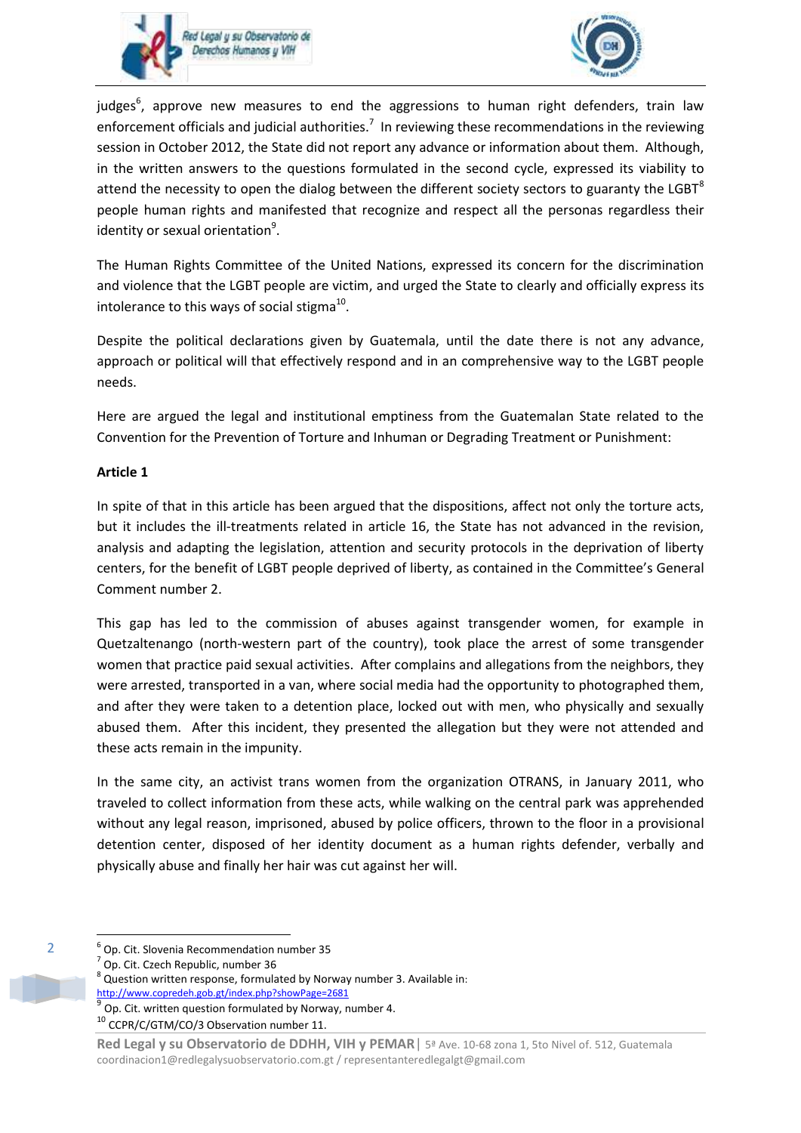



judges<sup>6</sup>, approve new measures to end the aggressions to human right defenders, train law enforcement officials and judicial authorities.<sup>7</sup> In reviewing these recommendations in the reviewing session in October 2012, the State did not report any advance or information about them. Although, in the written answers to the questions formulated in the second cycle, expressed its viability to attend the necessity to open the dialog between the different society sectors to guaranty the LGBT $^{8}$ people human rights and manifested that recognize and respect all the personas regardless their identity or sexual orientation<sup>9</sup>.

The Human Rights Committee of the United Nations, expressed its concern for the discrimination and violence that the LGBT people are victim, and urged the State to clearly and officially express its intolerance to this ways of social stigma<sup>10</sup>.

Despite the political declarations given by Guatemala, until the date there is not any advance, approach or political will that effectively respond and in an comprehensive way to the LGBT people needs.

Here are argued the legal and institutional emptiness from the Guatemalan State related to the Convention for the Prevention of Torture and Inhuman or Degrading Treatment or Punishment:

# **Article 1**

In spite of that in this article has been argued that the dispositions, affect not only the torture acts, but it includes the ill-treatments related in article 16, the State has not advanced in the revision, analysis and adapting the legislation, attention and security protocols in the deprivation of liberty centers, for the benefit of LGBT people deprived of liberty, as contained in the Committee's General Comment number 2.

This gap has led to the commission of abuses against transgender women, for example in Quetzaltenango (north-western part of the country), took place the arrest of some transgender women that practice paid sexual activities. After complains and allegations from the neighbors, they were arrested, transported in a van, where social media had the opportunity to photographed them, and after they were taken to a detention place, locked out with men, who physically and sexually abused them. After this incident, they presented the allegation but they were not attended and these acts remain in the impunity.

In the same city, an activist trans women from the organization OTRANS, in January 2011, who traveled to collect information from these acts, while walking on the central park was apprehended without any legal reason, imprisoned, abused by police officers, thrown to the floor in a provisional detention center, disposed of her identity document as a human rights defender, verbally and physically abuse and finally her hair was cut against her will.

**.** 

<sup>2</sup>

<sup>6</sup> Op. Cit. Slovenia Recommendation number 35

<sup>&</sup>lt;sup>7</sup> Op. Cit. Czech Republic, number 36

 $^8$  Question written response, formulated by Norway number 3. Available in: <http://www.copredeh.gob.gt/index.php?showPage=2681> 9

Op. Cit. written question formulated by Norway, number 4.

<sup>10</sup> CCPR/C/GTM/CO/3 Observation number 11.

**Red Legal y su Observatorio de DDHH, VIH y PEMAR**| 5ª Ave. 10-68 zona 1, 5to Nivel of. 512, Guatemala coordinacion1@redlegalysuobservatorio.com.gt / representanteredlegalgt@gmail.com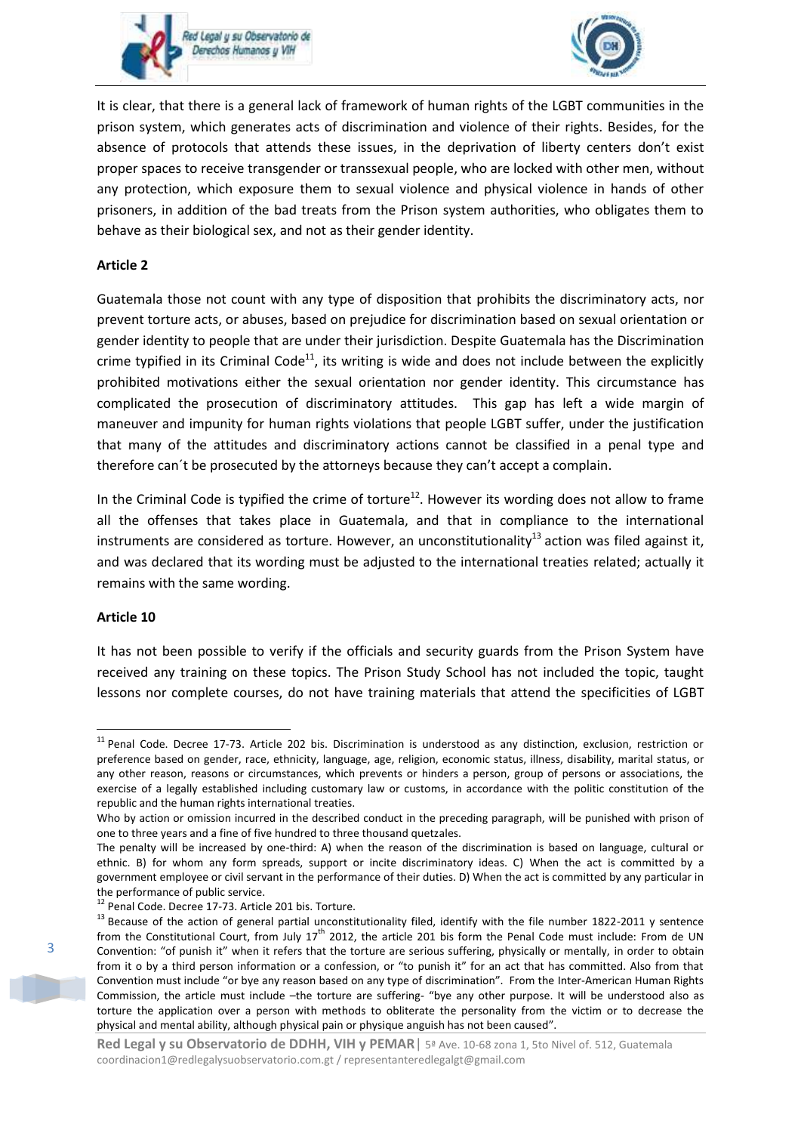



It is clear, that there is a general lack of framework of human rights of the LGBT communities in the prison system, which generates acts of discrimination and violence of their rights. Besides, for the absence of protocols that attends these issues, in the deprivation of liberty centers don't exist proper spaces to receive transgender or transsexual people, who are locked with other men, without any protection, which exposure them to sexual violence and physical violence in hands of other prisoners, in addition of the bad treats from the Prison system authorities, who obligates them to behave as their biological sex, and not as their gender identity.

# **Article 2**

Guatemala those not count with any type of disposition that prohibits the discriminatory acts, nor prevent torture acts, or abuses, based on prejudice for discrimination based on sexual orientation or gender identity to people that are under their jurisdiction. Despite Guatemala has the Discrimination crime typified in its Criminal Code<sup>11</sup>, its writing is wide and does not include between the explicitly prohibited motivations either the sexual orientation nor gender identity. This circumstance has complicated the prosecution of discriminatory attitudes. This gap has left a wide margin of maneuver and impunity for human rights violations that people LGBT suffer, under the justification that many of the attitudes and discriminatory actions cannot be classified in a penal type and therefore can´t be prosecuted by the attorneys because they can't accept a complain.

In the Criminal Code is typified the crime of torture<sup>12</sup>. However its wording does not allow to frame all the offenses that takes place in Guatemala, and that in compliance to the international instruments are considered as torture. However, an unconstitutionality<sup>13</sup> action was filed against it, and was declared that its wording must be adjusted to the international treaties related; actually it remains with the same wording.

#### **Article 10**

**.** 

It has not been possible to verify if the officials and security guards from the Prison System have received any training on these topics. The Prison Study School has not included the topic, taught lessons nor complete courses, do not have training materials that attend the specificities of LGBT

<sup>&</sup>lt;sup>11</sup> Penal Code. Decree 17-73. Article 202 bis. Discrimination is understood as any distinction, exclusion, restriction or preference based on gender, race, ethnicity, language, age, religion, economic status, illness, disability, marital status, or any other reason, reasons or circumstances, which prevents or hinders a person, group of persons or associations, the exercise of a legally established including customary law or customs, in accordance with the politic constitution of the republic and the human rights international treaties.

Who by action or omission incurred in the described conduct in the preceding paragraph, will be punished with prison of one to three years and a fine of five hundred to three thousand quetzales.

The penalty will be increased by one-third: A) when the reason of the discrimination is based on language, cultural or ethnic. B) for whom any form spreads, support or incite discriminatory ideas. C) When the act is committed by a government employee or civil servant in the performance of their duties. D) When the act is committed by any particular in the performance of public service.

<sup>12</sup> Penal Code. Decree 17-73. Article 201 bis. Torture.

<sup>&</sup>lt;sup>13</sup> Because of the action of general partial unconstitutionality filed, identify with the file number 1822-2011 y sentence from the Constitutional Court, from July 17<sup>th</sup> 2012, the article 201 bis form the Penal Code must include: From de UN Convention: "of punish it" when it refers that the torture are serious suffering, physically or mentally, in order to obtain from it o by a third person information or a confession, or "to punish it" for an act that has committed. Also from that Convention must include "or bye any reason based on any type of discrimination". From the Inter-American Human Rights Commission, the article must include –the torture are suffering- "bye any other purpose. It will be understood also as torture the application over a person with methods to obliterate the personality from the victim or to decrease the physical and mental ability, although physical pain or physique anguish has not been caused".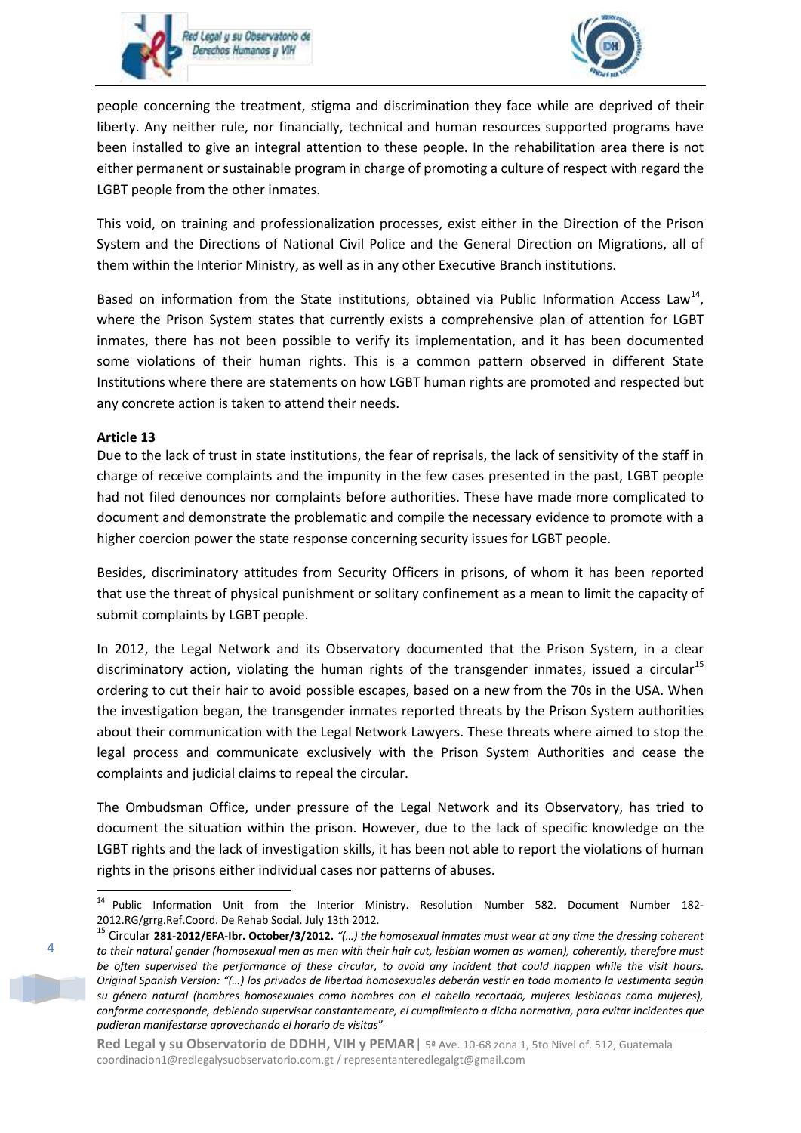



people concerning the treatment, stigma and discrimination they face while are deprived of their liberty. Any neither rule, nor financially, technical and human resources supported programs have been installed to give an integral attention to these people. In the rehabilitation area there is not either permanent or sustainable program in charge of promoting a culture of respect with regard the LGBT people from the other inmates.

This void, on training and professionalization processes, exist either in the Direction of the Prison System and the Directions of National Civil Police and the General Direction on Migrations, all of them within the Interior Ministry, as well as in any other Executive Branch institutions.

Based on information from the State institutions, obtained via Public Information Access Law<sup>14</sup>, where the Prison System states that currently exists a comprehensive plan of attention for LGBT inmates, there has not been possible to verify its implementation, and it has been documented some violations of their human rights. This is a common pattern observed in different State Institutions where there are statements on how LGBT human rights are promoted and respected but any concrete action is taken to attend their needs.

#### **Article 13**

Due to the lack of trust in state institutions, the fear of reprisals, the lack of sensitivity of the staff in charge of receive complaints and the impunity in the few cases presented in the past, LGBT people had not filed denounces nor complaints before authorities. These have made more complicated to document and demonstrate the problematic and compile the necessary evidence to promote with a higher coercion power the state response concerning security issues for LGBT people.

Besides, discriminatory attitudes from Security Officers in prisons, of whom it has been reported that use the threat of physical punishment or solitary confinement as a mean to limit the capacity of submit complaints by LGBT people.

In 2012, the Legal Network and its Observatory documented that the Prison System, in a clear discriminatory action, violating the human rights of the transgender inmates, issued a circular<sup>15</sup> ordering to cut their hair to avoid possible escapes, based on a new from the 70s in the USA. When the investigation began, the transgender inmates reported threats by the Prison System authorities about their communication with the Legal Network Lawyers. These threats where aimed to stop the legal process and communicate exclusively with the Prison System Authorities and cease the complaints and judicial claims to repeal the circular.

The Ombudsman Office, under pressure of the Legal Network and its Observatory, has tried to document the situation within the prison. However, due to the lack of specific knowledge on the LGBT rights and the lack of investigation skills, it has been not able to report the violations of human rights in the prisons either individual cases nor patterns of abuses.

 $\Delta$ 

**<sup>.</sup>** <sup>14</sup> Public Information Unit from the Interior Ministry. Resolution Number 582. Document Number 182-2012.RG/grrg.Ref.Coord. De Rehab Social. July 13th 2012.

<sup>15</sup> Circular **281-2012/EFA-Ibr. October/3/2012.** *"(…) the homosexual inmates must wear at any time the dressing coherent to their natural gender (homosexual men as men with their hair cut, lesbian women as women), coherently, therefore must be often supervised the performance of these circular, to avoid any incident that could happen while the visit hours. Original Spanish Version: "(…) los privados de libertad homosexuales deberán vestir en todo momento la vestimenta según su género natural (hombres homosexuales como hombres con el cabello recortado, mujeres lesbianas como mujeres), conforme corresponde, debiendo supervisar constantemente, el cumplimiento a dicha normativa, para evitar incidentes que pudieran manifestarse aprovechando el horario de visitas*"

Red Legal y su Observatorio de DDHH, VIH y PEMAR | 5ª Ave. 10-68 zona 1, 5to Nivel of. 512, Guatemala coordinacion1@redlegalysuobservatorio.com.gt / representanteredlegalgt@gmail.com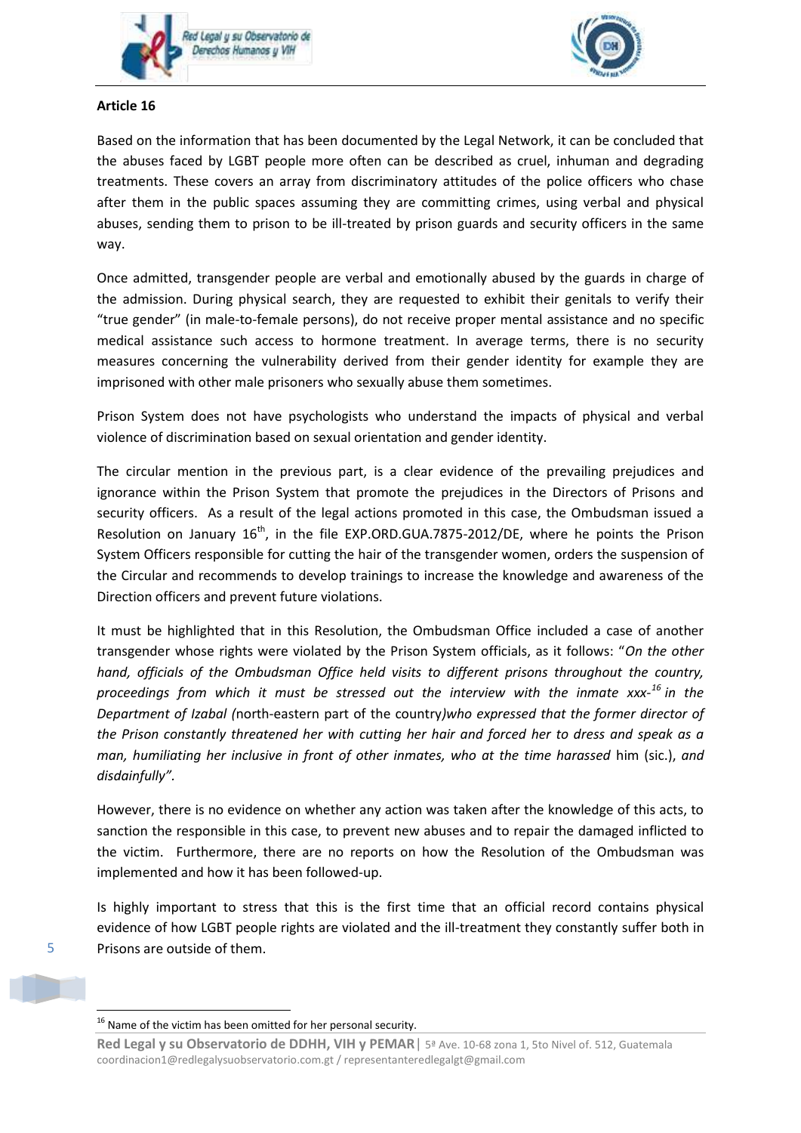



# **Article 16**

Based on the information that has been documented by the Legal Network, it can be concluded that the abuses faced by LGBT people more often can be described as cruel, inhuman and degrading treatments. These covers an array from discriminatory attitudes of the police officers who chase after them in the public spaces assuming they are committing crimes, using verbal and physical abuses, sending them to prison to be ill-treated by prison guards and security officers in the same way.

Once admitted, transgender people are verbal and emotionally abused by the guards in charge of the admission. During physical search, they are requested to exhibit their genitals to verify their "true gender" (in male-to-female persons), do not receive proper mental assistance and no specific medical assistance such access to hormone treatment. In average terms, there is no security measures concerning the vulnerability derived from their gender identity for example they are imprisoned with other male prisoners who sexually abuse them sometimes.

Prison System does not have psychologists who understand the impacts of physical and verbal violence of discrimination based on sexual orientation and gender identity.

The circular mention in the previous part, is a clear evidence of the prevailing prejudices and ignorance within the Prison System that promote the prejudices in the Directors of Prisons and security officers. As a result of the legal actions promoted in this case, the Ombudsman issued a Resolution on January  $16<sup>th</sup>$ , in the file EXP.ORD.GUA.7875-2012/DE, where he points the Prison System Officers responsible for cutting the hair of the transgender women, orders the suspension of the Circular and recommends to develop trainings to increase the knowledge and awareness of the Direction officers and prevent future violations.

It must be highlighted that in this Resolution, the Ombudsman Office included a case of another transgender whose rights were violated by the Prison System officials, as it follows: "*On the other hand, officials of the Ombudsman Office held visits to different prisons throughout the country, proceedings from which it must be stressed out the interview with the inmate xxx-<sup>16</sup> in the Department of Izabal (*north-eastern part of the country*)who expressed that the former director of the Prison constantly threatened her with cutting her hair and forced her to dress and speak as a man, humiliating her inclusive in front of other inmates, who at the time harassed* him (sic.), *and disdainfully".*

However, there is no evidence on whether any action was taken after the knowledge of this acts, to sanction the responsible in this case, to prevent new abuses and to repair the damaged inflicted to the victim. Furthermore, there are no reports on how the Resolution of the Ombudsman was implemented and how it has been followed-up.

Is highly important to stress that this is the first time that an official record contains physical evidence of how LGBT people rights are violated and the ill-treatment they constantly suffer both in Prisons are outside of them.

5

**.** 

**Red Legal y su Observatorio de DDHH, VIH y PEMAR**| 5ª Ave. 10-68 zona 1, 5to Nivel of. 512, Guatemala coordinacion1@redlegalysuobservatorio.com.gt / representanteredlegalgt@gmail.com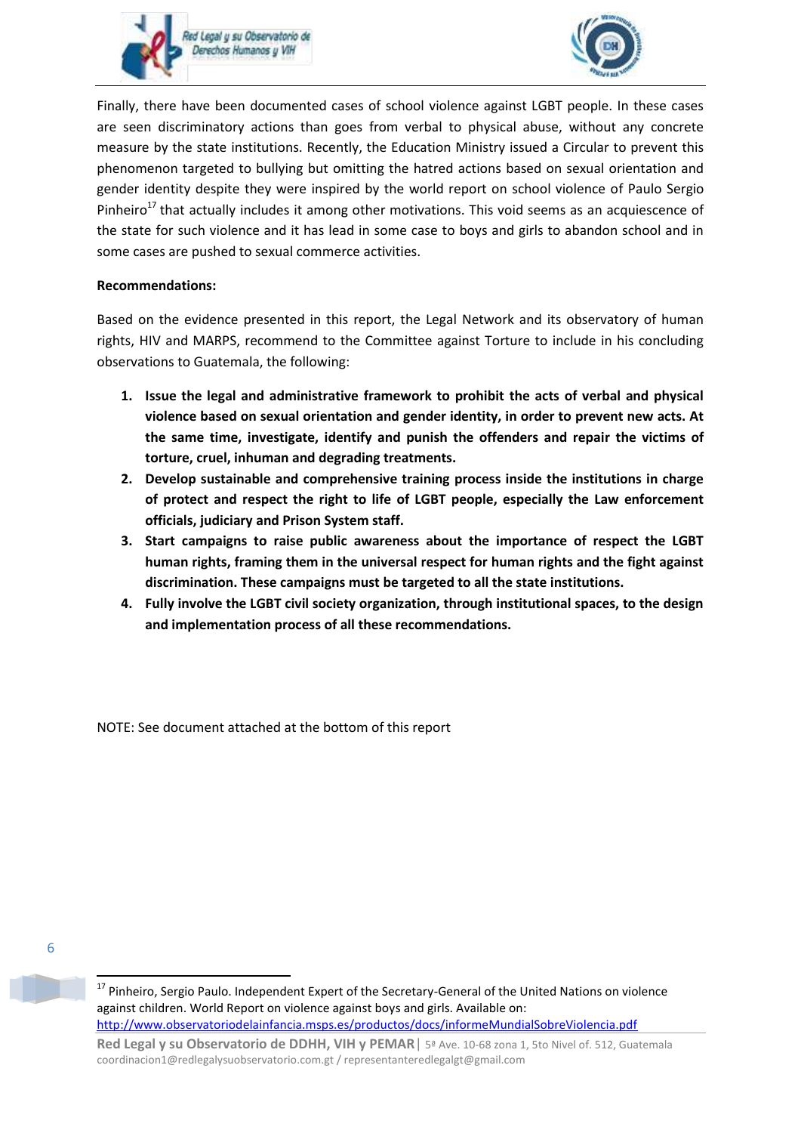



Finally, there have been documented cases of school violence against LGBT people. In these cases are seen discriminatory actions than goes from verbal to physical abuse, without any concrete measure by the state institutions. Recently, the Education Ministry issued a Circular to prevent this phenomenon targeted to bullying but omitting the hatred actions based on sexual orientation and gender identity despite they were inspired by the world report on school violence of Paulo Sergio Pinheiro<sup>17</sup> that actually includes it among other motivations. This void seems as an acquiescence of the state for such violence and it has lead in some case to boys and girls to abandon school and in some cases are pushed to sexual commerce activities.

# **Recommendations:**

Based on the evidence presented in this report, the Legal Network and its observatory of human rights, HIV and MARPS, recommend to the Committee against Torture to include in his concluding observations to Guatemala, the following:

- **1. Issue the legal and administrative framework to prohibit the acts of verbal and physical violence based on sexual orientation and gender identity, in order to prevent new acts. At the same time, investigate, identify and punish the offenders and repair the victims of torture, cruel, inhuman and degrading treatments.**
- **2. Develop sustainable and comprehensive training process inside the institutions in charge of protect and respect the right to life of LGBT people, especially the Law enforcement officials, judiciary and Prison System staff.**
- **3. Start campaigns to raise public awareness about the importance of respect the LGBT human rights, framing them in the universal respect for human rights and the fight against discrimination. These campaigns must be targeted to all the state institutions.**
- **4. Fully involve the LGBT civil society organization, through institutional spaces, to the design and implementation process of all these recommendations.**

NOTE: See document attached at the bottom of this report

6

1

<sup>&</sup>lt;sup>17</sup> Pinheiro, Sergio Paulo. Independent Expert of the Secretary-General of the United Nations on violence against children. World Report on violence against boys and girls. Available on: <http://www.observatoriodelainfancia.msps.es/productos/docs/informeMundialSobreViolencia.pdf>

Red Legal y su Observatorio de DDHH, VIH y PEMAR | 5ª Ave. 10-68 zona 1, 5to Nivel of. 512, Guatemala coordinacion1@redlegalysuobservatorio.com.gt / representanteredlegalgt@gmail.com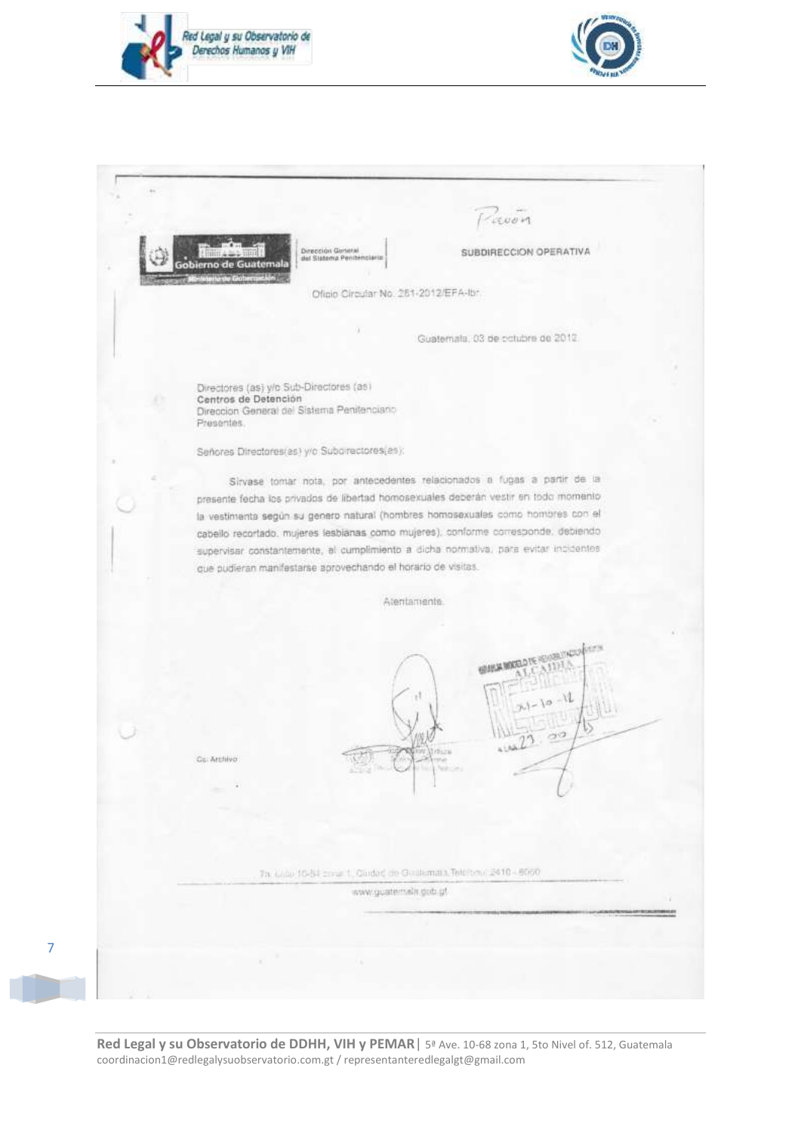

7



|                                                                                                                             | <b>LUOM</b>                                                                                                                                                                                                                                                                                                                                                                                                                       |
|-----------------------------------------------------------------------------------------------------------------------------|-----------------------------------------------------------------------------------------------------------------------------------------------------------------------------------------------------------------------------------------------------------------------------------------------------------------------------------------------------------------------------------------------------------------------------------|
| Dirección General<br>del Sistema Pentenciario<br>Gobierno de<br>Guatemala                                                   | SUBDIRECCION OPERATIVA                                                                                                                                                                                                                                                                                                                                                                                                            |
| Oficio Circular No. 251-2012/EFA-Ibr.                                                                                       |                                                                                                                                                                                                                                                                                                                                                                                                                                   |
|                                                                                                                             |                                                                                                                                                                                                                                                                                                                                                                                                                                   |
|                                                                                                                             | Guatemala, 03 de cotubre de 2012.                                                                                                                                                                                                                                                                                                                                                                                                 |
|                                                                                                                             |                                                                                                                                                                                                                                                                                                                                                                                                                                   |
| Directores (as) y/o Sub-Directores (as)<br>Centros de Detención<br>Direccion General del Sistema Penitenciano<br>Presentes. |                                                                                                                                                                                                                                                                                                                                                                                                                                   |
|                                                                                                                             |                                                                                                                                                                                                                                                                                                                                                                                                                                   |
| Señores Directores(as) y/o Suborrectores(as);                                                                               |                                                                                                                                                                                                                                                                                                                                                                                                                                   |
| que pudieran manifestarse aprovechando el horario de visitas.                                                               | Sirvase tomar nota, por antecedentes relacionados a fugas a partir de la<br>presente fecha los privados de libertad homosexuales deberán vestir en todo momento<br>la vestimenta según su genero natural (hombres homosexuales como hombres con el<br>cabello recortado, mujeres lesbíanas como mujeres), conforme corresponde, debiendo,<br>supervisar constantemente, el cumplimiento a dicha normativa, para evitar incidentes |
|                                                                                                                             | Atentamente.                                                                                                                                                                                                                                                                                                                                                                                                                      |
| Gu. Archivo                                                                                                                 | <b>MARKET STAGE</b><br><b>SUSSIANORRO TE PI</b><br>$-10 - 11$<br>-50<br><b>Service Communication</b>                                                                                                                                                                                                                                                                                                                              |
|                                                                                                                             | Th. Unite 10-54 zonar 1, Gledad de Gledamata, Telefonic 2410 - 6000<br>www.guatem.str.gob.ut                                                                                                                                                                                                                                                                                                                                      |
|                                                                                                                             |                                                                                                                                                                                                                                                                                                                                                                                                                                   |
|                                                                                                                             |                                                                                                                                                                                                                                                                                                                                                                                                                                   |
|                                                                                                                             |                                                                                                                                                                                                                                                                                                                                                                                                                                   |

**Red Legal y su Observatorio de DDHH, VIH y PEMAR**| 5ª Ave. 10-68 zona 1, 5to Nivel of. 512, Guatemala coordinacion1@redlegalysuobservatorio.com.gt / representanteredlegalgt@gmail.com